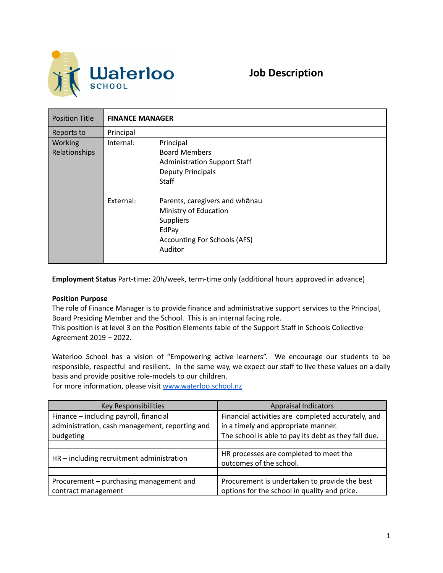

| <b>Position Title</b>    | <b>FINANCE MANAGER</b>                                                                                                                       |  |  |
|--------------------------|----------------------------------------------------------------------------------------------------------------------------------------------|--|--|
| Reports to               | Principal                                                                                                                                    |  |  |
| Working<br>Relationships | Internal:<br>Principal<br><b>Board Members</b><br><b>Administration Support Staff</b><br><b>Deputy Principals</b><br><b>Staff</b>            |  |  |
|                          | External:<br>Parents, caregivers and whanau<br>Ministry of Education<br><b>Suppliers</b><br>EdPay<br>Accounting For Schools (AFS)<br>Auditor |  |  |

**Employment Status** Part-time: 20h/week, term-time only (additional hours approved in advance)

## **Position Purpose**

The role of Finance Manager is to provide finance and administrative support services to the Principal, Board Presiding Member and the School. This is an internal facing role.

This position is at level 3 on the Position Elements table of the Support Staff in Schools Collective Agreement 2019 – 2022.

Waterloo School has a vision of "Empowering active learners". We encourage our students to be responsible, respectful and resilient. In the same way, we expect our staff to live these values on a daily basis and provide positive role-models to our children.

For more information, please visit [www.waterloo.school.nz](http://www.waterloo.school.nz)

| Key Responsibilities                           | <b>Appraisal Indicators</b>                          |  |
|------------------------------------------------|------------------------------------------------------|--|
| Finance - including payroll, financial         | Financial activities are completed accurately, and   |  |
| administration, cash management, reporting and | in a timely and appropriate manner.                  |  |
| budgeting                                      | The school is able to pay its debt as they fall due. |  |
|                                                |                                                      |  |
| HR - including recruitment administration      | HR processes are completed to meet the               |  |
|                                                | outcomes of the school.                              |  |
|                                                |                                                      |  |
| Procurement - purchasing management and        | Procurement is undertaken to provide the best        |  |
| contract management                            | options for the school in quality and price.         |  |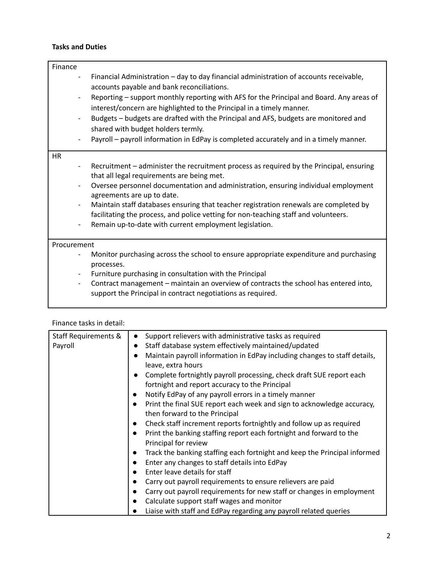## **Tasks and Duties**

| Finance                                                                          |                                                                                                                                                                                                                                                                                                                                                                                                  |
|----------------------------------------------------------------------------------|--------------------------------------------------------------------------------------------------------------------------------------------------------------------------------------------------------------------------------------------------------------------------------------------------------------------------------------------------------------------------------------------------|
| $\overline{\phantom{a}}$<br>$\overline{\phantom{a}}$<br>$\overline{\phantom{a}}$ | Financial Administration - day to day financial administration of accounts receivable,<br>accounts payable and bank reconciliations.<br>Reporting - support monthly reporting with AFS for the Principal and Board. Any areas of<br>interest/concern are highlighted to the Principal in a timely manner.<br>Budgets - budgets are drafted with the Principal and AFS, budgets are monitored and |
|                                                                                  | shared with budget holders termly.                                                                                                                                                                                                                                                                                                                                                               |
| $\overline{\phantom{a}}$                                                         | Payroll - payroll information in EdPay is completed accurately and in a timely manner.                                                                                                                                                                                                                                                                                                           |
| <b>HR</b>                                                                        |                                                                                                                                                                                                                                                                                                                                                                                                  |
|                                                                                  | Recruitment – administer the recruitment process as required by the Principal, ensuring<br>that all legal requirements are being met.<br>Oversee personnel documentation and administration, ensuring individual employment<br>agreements are up to date.                                                                                                                                        |
| $\overline{\phantom{a}}$<br>$\overline{\phantom{a}}$                             | Maintain staff databases ensuring that teacher registration renewals are completed by<br>facilitating the process, and police vetting for non-teaching staff and volunteers.<br>Remain up-to-date with current employment legislation.                                                                                                                                                           |
| Procurement                                                                      |                                                                                                                                                                                                                                                                                                                                                                                                  |
| $\overline{\phantom{a}}$                                                         | Monitor purchasing across the school to ensure appropriate expenditure and purchasing<br>processes.<br>Furniture purchasing in consultation with the Principal                                                                                                                                                                                                                                   |
| $\overline{\phantom{a}}$                                                         | Contract management – maintain an overview of contracts the school has entered into,<br>support the Principal in contract negotiations as required.                                                                                                                                                                                                                                              |

| Finance tasks in detail:        |                                                                                                                                                                                                                                                                                                                                                                                                                                                                                                                                                                                                                                                                                                                                                                                                                                                                                                                                                                                                                                                                                                                                                        |  |
|---------------------------------|--------------------------------------------------------------------------------------------------------------------------------------------------------------------------------------------------------------------------------------------------------------------------------------------------------------------------------------------------------------------------------------------------------------------------------------------------------------------------------------------------------------------------------------------------------------------------------------------------------------------------------------------------------------------------------------------------------------------------------------------------------------------------------------------------------------------------------------------------------------------------------------------------------------------------------------------------------------------------------------------------------------------------------------------------------------------------------------------------------------------------------------------------------|--|
| Staff Requirements &<br>Payroll | Support relievers with administrative tasks as required<br>$\bullet$<br>Staff database system effectively maintained/updated<br>$\bullet$<br>Maintain payroll information in EdPay including changes to staff details,<br>$\bullet$<br>leave, extra hours<br>Complete fortnightly payroll processing, check draft SUE report each<br>fortnight and report accuracy to the Principal<br>Notify EdPay of any payroll errors in a timely manner<br>Print the final SUE report each week and sign to acknowledge accuracy,<br>then forward to the Principal<br>Check staff increment reports fortnightly and follow up as required<br>Print the banking staffing report each fortnight and forward to the<br>Principal for review<br>Track the banking staffing each fortnight and keep the Principal informed<br>Enter any changes to staff details into EdPay<br>Enter leave details for staff<br>Carry out payroll requirements to ensure relievers are paid<br>Carry out payroll requirements for new staff or changes in employment<br>Calculate support staff wages and monitor<br>Liaise with staff and EdPay regarding any payroll related queries |  |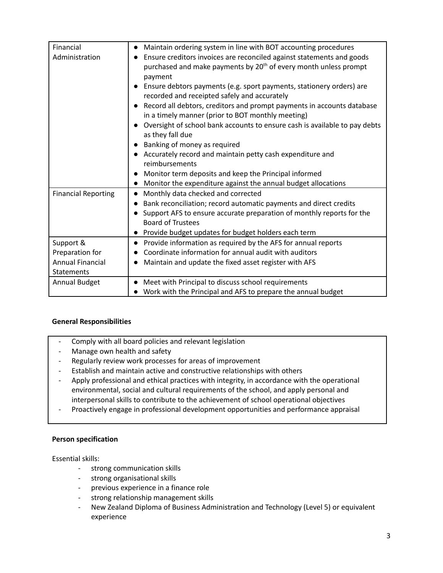| Financial                  | Maintain ordering system in line with BOT accounting procedures<br>$\bullet$ |
|----------------------------|------------------------------------------------------------------------------|
| Administration             | Ensure creditors invoices are reconciled against statements and goods        |
|                            | purchased and make payments by 20 <sup>th</sup> of every month unless prompt |
|                            | payment                                                                      |
|                            | Ensure debtors payments (e.g. sport payments, stationery orders) are         |
|                            | recorded and receipted safely and accurately                                 |
|                            |                                                                              |
|                            | Record all debtors, creditors and prompt payments in accounts database       |
|                            | in a timely manner (prior to BOT monthly meeting)                            |
|                            | Oversight of school bank accounts to ensure cash is available to pay debts   |
|                            | as they fall due                                                             |
|                            | Banking of money as required                                                 |
|                            | Accurately record and maintain petty cash expenditure and                    |
|                            | reimbursements                                                               |
|                            | Monitor term deposits and keep the Principal informed                        |
|                            | Monitor the expenditure against the annual budget allocations                |
| <b>Financial Reporting</b> | Monthly data checked and corrected                                           |
|                            | Bank reconciliation; record automatic payments and direct credits            |
|                            | Support AFS to ensure accurate preparation of monthly reports for the        |
|                            | <b>Board of Trustees</b>                                                     |
|                            | Provide budget updates for budget holders each term                          |
|                            |                                                                              |
| Support &                  | Provide information as required by the AFS for annual reports                |
| Preparation for            | Coordinate information for annual audit with auditors                        |
| <b>Annual Financial</b>    | Maintain and update the fixed asset register with AFS                        |
| Statements                 |                                                                              |
| Annual Budget              | Meet with Principal to discuss school requirements                           |
|                            | Work with the Principal and AFS to prepare the annual budget                 |

## **General Responsibilities**

- Comply with all board policies and relevant legislation
- Manage own health and safety
- Regularly review work processes for areas of improvement
- Establish and maintain active and constructive relationships with others
- Apply professional and ethical practices with integrity, in accordance with the operational environmental, social and cultural requirements of the school, and apply personal and interpersonal skills to contribute to the achievement of school operational objectives
- Proactively engage in professional development opportunities and performance appraisal

## **Person specification**

Essential skills:

- strong communication skills
- strong organisational skills
- previous experience in a finance role
- strong relationship management skills
- New Zealand Diploma of Business Administration and Technology (Level 5) or equivalent experience